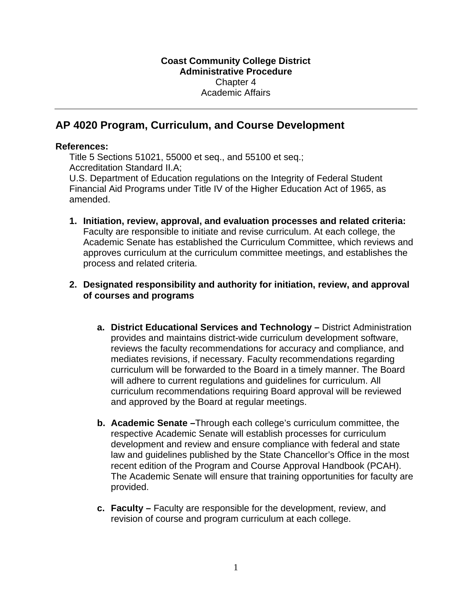## **AP 4020 Program, Curriculum, and Course Development**

## **References:**

Title 5 Sections 51021, 55000 et seq., and 55100 et seq.; Accreditation Standard II.A;

U.S. Department of Education regulations on the Integrity of Federal Student Financial Aid Programs under Title IV of the Higher Education Act of 1965, as amended.

- **1. Initiation, review, approval, and evaluation processes and related criteria:**  Faculty are responsible to initiate and revise curriculum. At each college, the Academic Senate has established the Curriculum Committee, which reviews and approves curriculum at the curriculum committee meetings, and establishes the process and related criteria.
- **2. Designated responsibility and authority for initiation, review, and approval of courses and programs** 
	- **a. District Educational Services and Technology** District Administration provides and maintains district-wide curriculum development software, reviews the faculty recommendations for accuracy and compliance, and mediates revisions, if necessary. Faculty recommendations regarding curriculum will be forwarded to the Board in a timely manner. The Board will adhere to current regulations and guidelines for curriculum. All curriculum recommendations requiring Board approval will be reviewed and approved by the Board at regular meetings.
	- **b. Academic Senate –**Through each college's curriculum committee, the respective Academic Senate will establish processes for curriculum development and review and ensure compliance with federal and state law and guidelines published by the State Chancellor's Office in the most recent edition of the Program and Course Approval Handbook (PCAH). The Academic Senate will ensure that training opportunities for faculty are provided.
	- **c. Faculty** Faculty are responsible for the development, review, and revision of course and program curriculum at each college.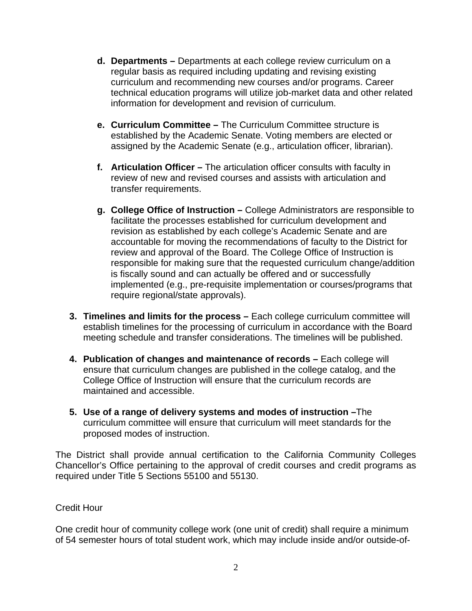- **d. Departments** Departments at each college review curriculum on a regular basis as required including updating and revising existing curriculum and recommending new courses and/or programs. Career technical education programs will utilize job-market data and other related information for development and revision of curriculum.
- **e. Curriculum Committee** The Curriculum Committee structure is established by the Academic Senate. Voting members are elected or assigned by the Academic Senate (e.g., articulation officer, librarian).
- **f. Articulation Officer –** The articulation officer consults with faculty in review of new and revised courses and assists with articulation and transfer requirements.
- **g. College Office of Instruction** College Administrators are responsible to facilitate the processes established for curriculum development and revision as established by each college's Academic Senate and are accountable for moving the recommendations of faculty to the District for review and approval of the Board. The College Office of Instruction is responsible for making sure that the requested curriculum change/addition is fiscally sound and can actually be offered and or successfully implemented (e.g., pre-requisite implementation or courses/programs that require regional/state approvals).
- **3. Timelines and limits for the process –** Each college curriculum committee will establish timelines for the processing of curriculum in accordance with the Board meeting schedule and transfer considerations. The timelines will be published.
- **4. Publication of changes and maintenance of records –** Each college will ensure that curriculum changes are published in the college catalog, and the College Office of Instruction will ensure that the curriculum records are maintained and accessible.
- **5. Use of a range of delivery systems and modes of instruction –**The curriculum committee will ensure that curriculum will meet standards for the proposed modes of instruction.

The District shall provide annual certification to the California Community Colleges Chancellor's Office pertaining to the approval of credit courses and credit programs as required under Title 5 Sections 55100 and 55130.

## Credit Hour

One credit hour of community college work (one unit of credit) shall require a minimum of 54 semester hours of total student work, which may include inside and/or outside-of